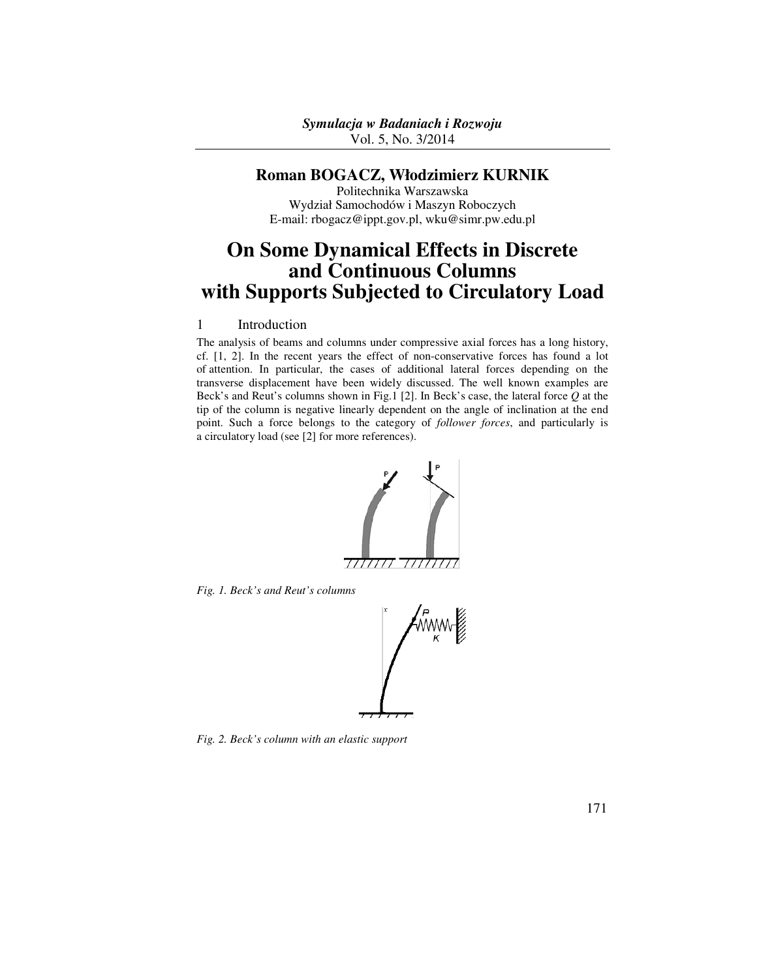## **Roman BOGACZ, Włodzimierz KURNIK**

Politechnika Warszawska Wydział Samochodów i Maszyn Roboczych E-mail: rbogacz@ippt.gov.pl, wku@simr.pw.edu.pl

# **On Some Dynamical Effects in Discrete and Continuous Columns with Supports Subjected to Circulatory Load**

## 1 Introduction

The analysis of beams and columns under compressive axial forces has a long history, cf. [1, 2]. In the recent years the effect of non-conservative forces has found a lot of attention. In particular, the cases of additional lateral forces depending on the transverse displacement have been widely discussed. The well known examples are Beck's and Reut's columns shown in Fig.1 [2]. In Beck's case, the lateral force *Q* at the tip of the column is negative linearly dependent on the angle of inclination at the end point. Such a force belongs to the category of *follower forces*, and particularly is a circulatory load (see [2] for more references).



*Fig. 1. Beck's and Reut's columns* 



*Fig. 2. Beck's column with an elastic support*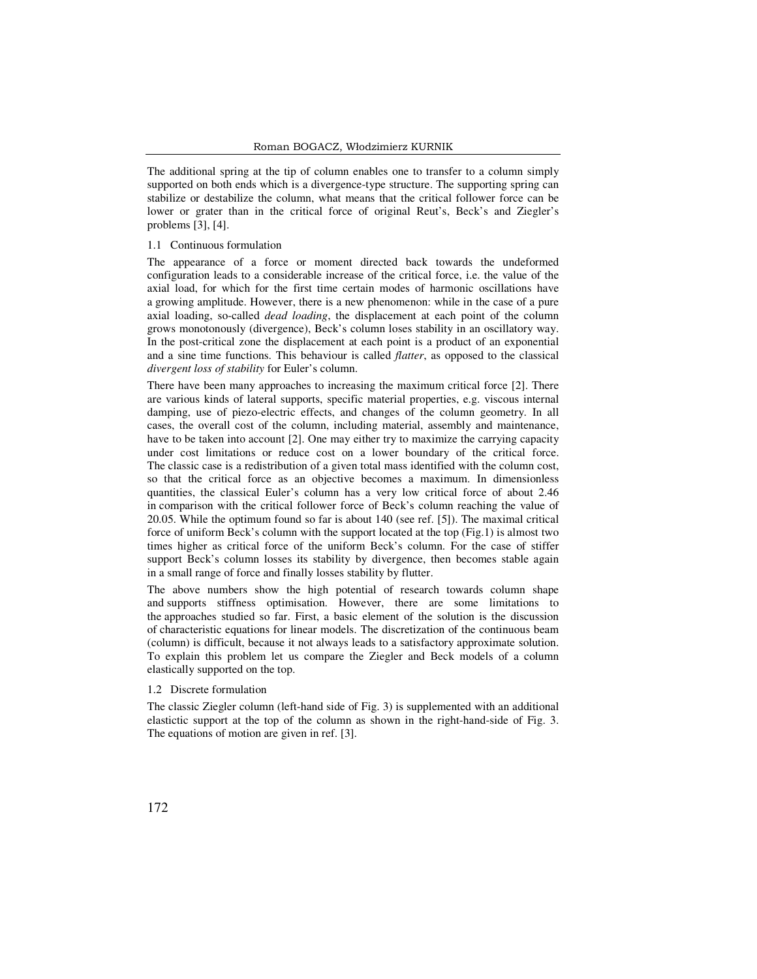The additional spring at the tip of column enables one to transfer to a column simply supported on both ends which is a divergence-type structure. The supporting spring can stabilize or destabilize the column, what means that the critical follower force can be lower or grater than in the critical force of original Reut's, Beck's and Ziegler's problems [3], [4].

#### 1.1 Continuous formulation

The appearance of a force or moment directed back towards the undeformed configuration leads to a considerable increase of the critical force, i.e. the value of the axial load, for which for the first time certain modes of harmonic oscillations have a growing amplitude. However, there is a new phenomenon: while in the case of a pure axial loading, so-called *dead loading*, the displacement at each point of the column grows monotonously (divergence), Beck's column loses stability in an oscillatory way. In the post-critical zone the displacement at each point is a product of an exponential and a sine time functions. This behaviour is called *flatter*, as opposed to the classical *divergent loss of stability* for Euler's column.

There have been many approaches to increasing the maximum critical force [2]. There are various kinds of lateral supports, specific material properties, e.g. viscous internal damping, use of piezo-electric effects, and changes of the column geometry. In all cases, the overall cost of the column, including material, assembly and maintenance, have to be taken into account [2]. One may either try to maximize the carrying capacity under cost limitations or reduce cost on a lower boundary of the critical force. The classic case is a redistribution of a given total mass identified with the column cost, so that the critical force as an objective becomes a maximum. In dimensionless quantities, the classical Euler's column has a very low critical force of about 2.46 in comparison with the critical follower force of Beck's column reaching the value of 20.05. While the optimum found so far is about 140 (see ref. [5]). The maximal critical force of uniform Beck's column with the support located at the top (Fig.1) is almost two times higher as critical force of the uniform Beck's column. For the case of stiffer support Beck's column losses its stability by divergence, then becomes stable again in a small range of force and finally losses stability by flutter.

The above numbers show the high potential of research towards column shape and supports stiffness optimisation. However, there are some limitations to the approaches studied so far. First, a basic element of the solution is the discussion of characteristic equations for linear models. The discretization of the continuous beam (column) is difficult, because it not always leads to a satisfactory approximate solution. To explain this problem let us compare the Ziegler and Beck models of a column elastically supported on the top.

#### 1.2 Discrete formulation

The classic Ziegler column (left-hand side of Fig. 3) is supplemented with an additional elastictic support at the top of the column as shown in the right-hand-side of Fig. 3. The equations of motion are given in ref. [3].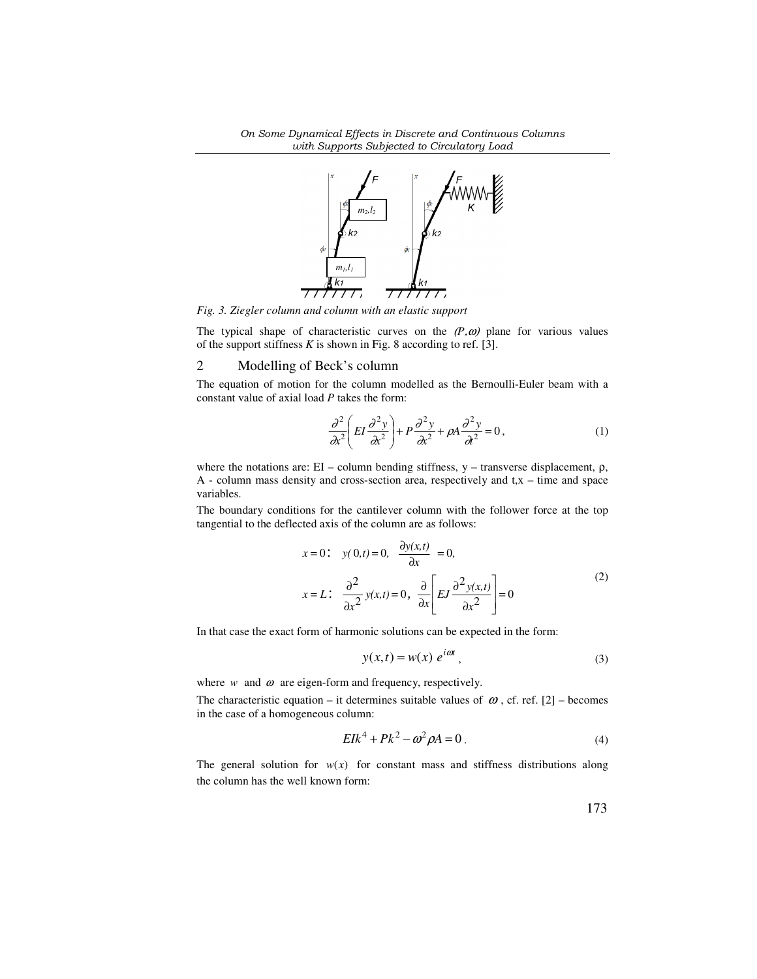

*Fig. 3. Ziegler column and column with an elastic support* 

The typical shape of characteristic curves on the  $(P, \omega)$  plane for various values of the support stiffness *K* is shown in Fig. 8 according to ref. [3].

## 2 Modelling of Beck's column

The equation of motion for the column modelled as the Bernoulli-Euler beam with a constant value of axial load *P* takes the form:

$$
\frac{\partial^2}{\partial x^2} \left( EI \frac{\partial^2 y}{\partial x^2} \right) + P \frac{\partial^2 y}{\partial x^2} + \rho A \frac{\partial^2 y}{\partial x^2} = 0, \tag{1}
$$

where the notations are: EI – column bending stiffness, y – transverse displacement, ρ, A - column mass density and cross-section area, respectively and t,x – time and space variables.

The boundary conditions for the cantilever column with the follower force at the top tangential to the deflected axis of the column are as follows:

$$
x = 0: \quad y(0,t) = 0, \quad \frac{\partial y(x,t)}{\partial x} = 0,
$$

$$
x = L: \quad \frac{\partial^2}{\partial x^2} y(x,t) = 0, \quad \frac{\partial}{\partial x} \left[ E J \frac{\partial^2 y(x,t)}{\partial x^2} \right] = 0
$$
 (2)

In that case the exact form of harmonic solutions can be expected in the form:

$$
y(x,t) = w(x) e^{i\omega t}, \qquad (3)
$$

where  $w$  and  $\omega$  are eigen-form and frequency, respectively.

The characteristic equation – it determines suitable values of  $\omega$ , cf. ref. [2] – becomes in the case of a homogeneous column:

$$
E I k4 + P k2 - \omega2 \rho A = 0.
$$
 (4)

The general solution for  $w(x)$  for constant mass and stiffness distributions along the column has the well known form:

173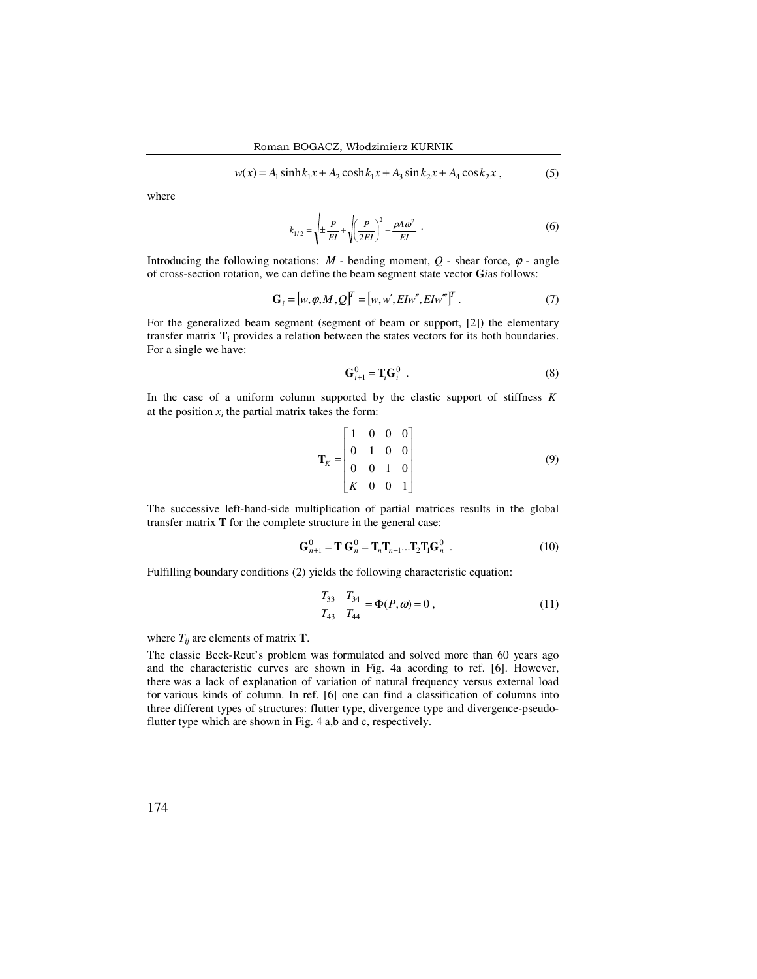$$
w(x) = A_1 \sinh k_1 x + A_2 \cosh k_1 x + A_3 \sin k_2 x + A_4 \cos k_2 x ,
$$
 (5)

where

$$
k_{1/2} = \sqrt{\pm \frac{P}{EI} + \sqrt{\left(\frac{P}{2EI}\right)^2 + \frac{\rho A \omega^2}{EI}}}.
$$
 (6)

Introducing the following notations:  $M$  - bending moment,  $O$  - shear force,  $\varphi$  - angle of cross-section rotation, we can define the beam segment state vector **G***i*as follows:

$$
\mathbf{G}_i = [w, \varphi, M, Q]^T = [w, w', EIw'', EIw''']^T. \tag{7}
$$

For the generalized beam segment (segment of beam or support, [2]) the elementary transfer matrix **T<sup>i</sup>** provides a relation between the states vectors for its both boundaries. For a single we have:

$$
\mathbf{G}_{i+1}^0 = \mathbf{T}_i \mathbf{G}_i^0 \tag{8}
$$

In the case of a uniform column supported by the elastic support of stiffness *K* at the position  $x_i$  the partial matrix takes the form:

$$
\mathbf{T}_K = \begin{bmatrix} 1 & 0 & 0 & 0 \\ 0 & 1 & 0 & 0 \\ 0 & 0 & 1 & 0 \\ K & 0 & 0 & 1 \end{bmatrix}
$$
 (9)

The successive left-hand-side multiplication of partial matrices results in the global transfer matrix **T** for the complete structure in the general case:

$$
\mathbf{G}_{n+1}^0 = \mathbf{T} \mathbf{G}_n^0 = \mathbf{T}_n \mathbf{T}_{n-1} \dots \mathbf{T}_2 \mathbf{T}_1 \mathbf{G}_n^0 \tag{10}
$$

Fulfilling boundary conditions (2) yields the following characteristic equation:

$$
\begin{vmatrix} T_{33} & T_{34} \\ T_{43} & T_{44} \end{vmatrix} = \Phi(P, \omega) = 0 , \qquad (11)
$$

where  $T_{ij}$  are elements of matrix **T**.

The classic Beck-Reut's problem was formulated and solved more than 60 years ago and the characteristic curves are shown in Fig. 4a acording to ref. [6]. However, there was a lack of explanation of variation of natural frequency versus external load for various kinds of column. In ref. [6] one can find a classification of columns into three different types of structures: flutter type, divergence type and divergence-pseudoflutter type which are shown in Fig. 4 a,b and c, respectively.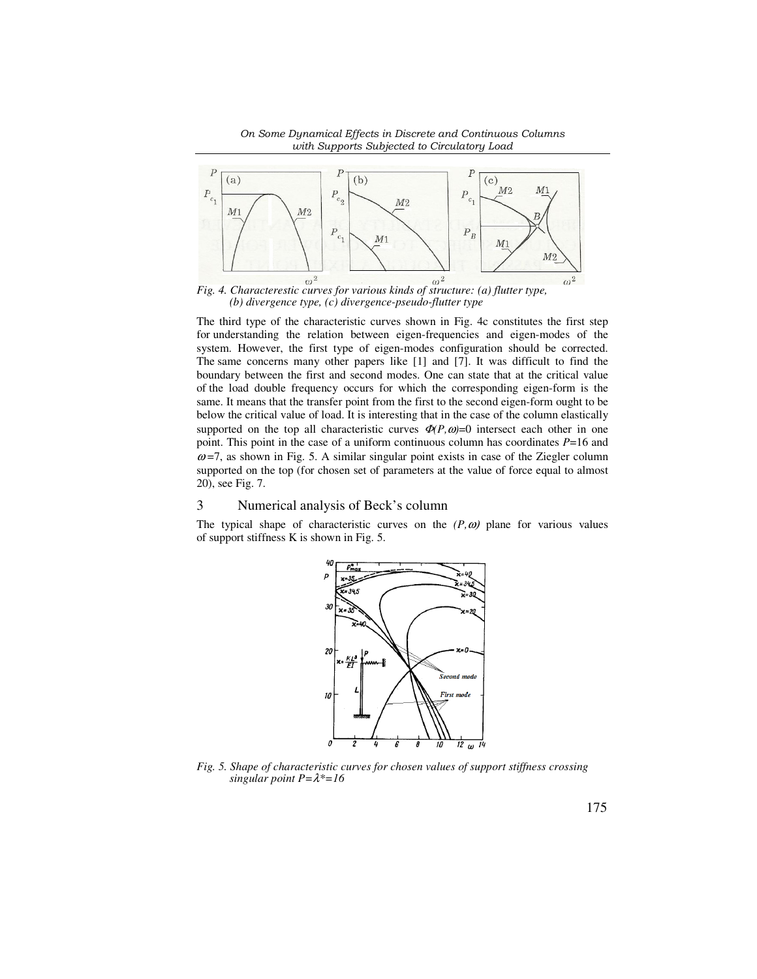



*(b) divergence type, (c) divergence-pseudo-flutter type* 

The third type of the characteristic curves shown in Fig. 4c constitutes the first step for understanding the relation between eigen-frequencies and eigen-modes of the system. However, the first type of eigen-modes configuration should be corrected. The same concerns many other papers like [1] and [7]. It was difficult to find the boundary between the first and second modes. One can state that at the critical value of the load double frequency occurs for which the corresponding eigen-form is the same. It means that the transfer point from the first to the second eigen-form ought to be below the critical value of load. It is interesting that in the case of the column elastically supported on the top all characteristic curves  $\Phi(P,\omega)=0$  intersect each other in one point. This point in the case of a uniform continuous column has coordinates *P*=16 and  $\omega$ =7, as shown in Fig. 5. A similar singular point exists in case of the Ziegler column supported on the top (for chosen set of parameters at the value of force equal to almost 20), see Fig. 7.

### 3 Numerical analysis of Beck's column

The typical shape of characteristic curves on the  $(P, \omega)$  plane for various values of support stiffness K is shown in Fig. 5.



*Fig. 5. Shape of characteristic curves for chosen values of support stiffness crossing singular point P=*λ*\*=16*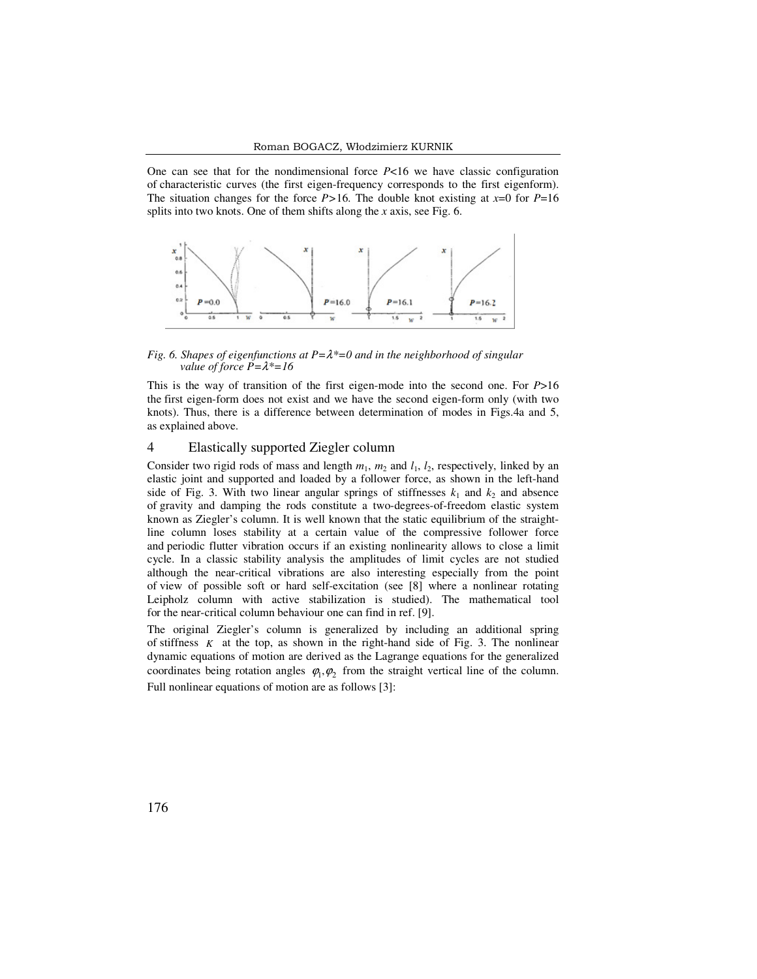One can see that for the nondimensional force *P*<16 we have classic configuration of characteristic curves (the first eigen-frequency corresponds to the first eigenform). The situation changes for the force  $P>16$ . The double knot existing at  $x=0$  for  $P=16$ splits into two knots. One of them shifts along the *x* axis, see Fig. 6.



*Fig. 6. Shapes of eigenfunctions at P=*λ*\*=0 and in the neighborhood of singular value of force P=*λ*\*=16* 

This is the way of transition of the first eigen-mode into the second one. For *P*>16 the first eigen-form does not exist and we have the second eigen-form only (with two knots). Thus, there is a difference between determination of modes in Figs.4a and 5, as explained above.

## 4 Elastically supported Ziegler column

Consider two rigid rods of mass and length  $m_1$ ,  $m_2$  and  $l_1$ ,  $l_2$ , respectively, linked by an elastic joint and supported and loaded by a follower force, as shown in the left-hand side of Fig. 3. With two linear angular springs of stiffnesses  $k_1$  and  $k_2$  and absence of gravity and damping the rods constitute a two-degrees-of-freedom elastic system known as Ziegler's column. It is well known that the static equilibrium of the straightline column loses stability at a certain value of the compressive follower force and periodic flutter vibration occurs if an existing nonlinearity allows to close a limit cycle. In a classic stability analysis the amplitudes of limit cycles are not studied although the near-critical vibrations are also interesting especially from the point of view of possible soft or hard self-excitation (see [8] where a nonlinear rotating Leipholz column with active stabilization is studied). The mathematical tool for the near-critical column behaviour one can find in ref. [9].

The original Ziegler's column is generalized by including an additional spring of stiffness  $K$  at the top, as shown in the right-hand side of Fig. 3. The nonlinear dynamic equations of motion are derived as the Lagrange equations for the generalized coordinates being rotation angles  $\varphi_1, \varphi_2$  from the straight vertical line of the column. Full nonlinear equations of motion are as follows [3]: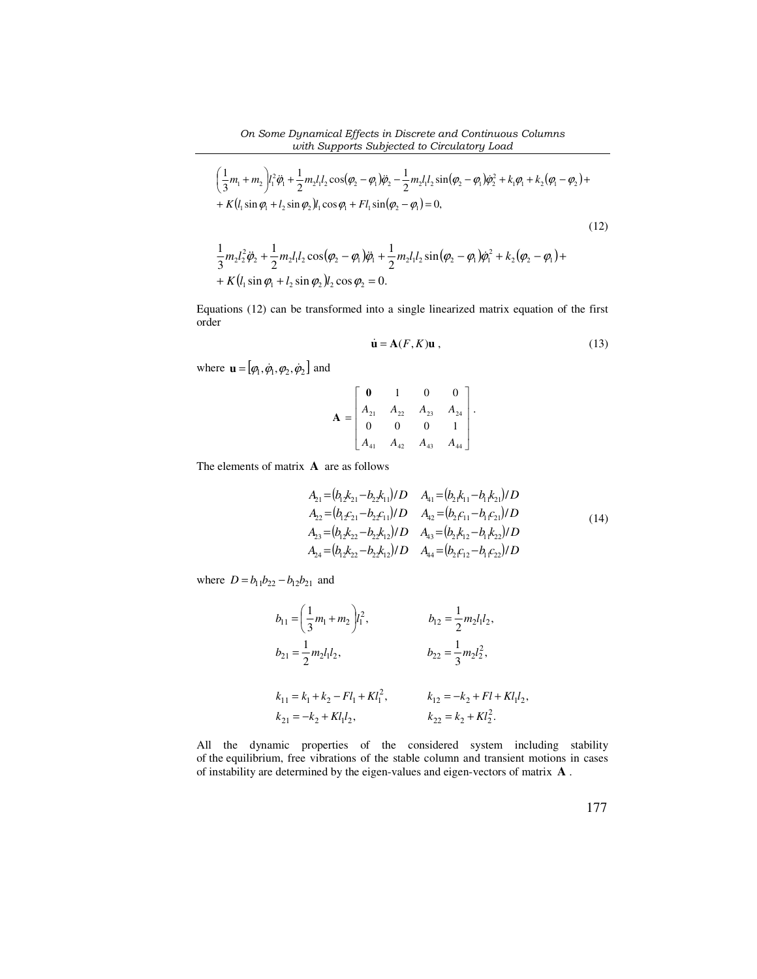#### *On Some Dynamical Effects in Discrete and Continuous Columns with Supports Subjected to Circulatory Load*

$$
\left(\frac{1}{3}m_{1}+m_{2}\right)l_{1}^{2}\ddot{\varphi}_{1}+\frac{1}{2}m_{2}l_{1}l_{2}\cos(\varphi_{2}-\varphi_{1})\ddot{\varphi}_{2}-\frac{1}{2}m_{2}l_{1}l_{2}\sin(\varphi_{2}-\varphi_{1})\dot{\varphi}_{2}^{2}+k_{1}\varphi_{1}+k_{2}(\varphi_{1}-\varphi_{2})++K(l_{1}\sin\varphi_{1}+l_{2}\sin\varphi_{2})l_{1}\cos\varphi_{1}+Fl_{1}\sin(\varphi_{2}-\varphi_{1})=0,\n\frac{1}{3}m_{2}l_{2}^{2}\ddot{\varphi}_{2}+\frac{1}{2}m_{2}l_{1}l_{2}\cos(\varphi_{2}-\varphi_{1})\ddot{\varphi}_{1}+\frac{1}{2}m_{2}l_{1}l_{2}\sin(\varphi_{2}-\varphi_{1})\dot{\varphi}_{1}^{2}+k_{2}(\varphi_{2}-\varphi_{1})++K(l_{1}\sin\varphi_{1}+l_{2}\sin\varphi_{2})l_{2}\cos\varphi_{2}=0.
$$
\n(12)

Equations (12) can be transformed into a single linearized matrix equation of the first order

$$
\dot{\mathbf{u}} = \mathbf{A}(F, K)\mathbf{u} \tag{13}
$$

where  $\mathbf{u} = [\varphi_1, \dot{\varphi}_1, \varphi_2, \dot{\varphi}_2]$  and

$$
\mathbf{A} = \begin{bmatrix} \mathbf{0} & 1 & 0 & 0 \\ A_{21} & A_{22} & A_{23} & A_{24} \\ 0 & 0 & 0 & 1 \\ A_{41} & A_{42} & A_{43} & A_{44} \end{bmatrix}.
$$

The elements of matrix **A** are as follows

$$
A_{21} = (b_1 k_{21} - b_2 k_{11}) / D \t A_{41} = (b_2 k_{11} - b_1 k_{21}) / D \n A_{22} = (b_1 c_{21} - b_2 c_{11}) / D \t A_{42} = (b_2 c_{11} - b_1 c_{21}) / D \n A_{23} = (b_1 k_{22} - b_2 k_{12}) / D \t A_{43} = (b_2 k_{12} - b_1 k_{22}) / D \n A_{24} = (b_1 k_{22} - b_2 k_{12}) / D \t A_{44} = (b_2 c_{12} - b_1 c_{22}) / D
$$
\n(14)

where  $D = b_{11}b_{22} - b_{12}b_{21}$  and

$$
b_{11} = \left(\frac{1}{3}m_1 + m_2\right)l_1^2, \qquad b_{12} = \frac{1}{2}m_2l_1l_2,
$$
  
\n
$$
b_{21} = \frac{1}{2}m_2l_1l_2, \qquad b_{22} = \frac{1}{3}m_2l_2^2,
$$
  
\n
$$
k_{11} = k_1 + k_2 - Fl_1 + Kl_1^2, \qquad k_{12} = -k_2 + Fl + Kl_1l_2,
$$
  
\n
$$
k_{21} = -k_2 + Kl_1l_2, \qquad k_{22} = k_2 + Kl_2^2.
$$

All the dynamic properties of the considered system including stability of the equilibrium, free vibrations of the stable column and transient motions in cases of instability are determined by the eigen-values and eigen-vectors of matrix **A** .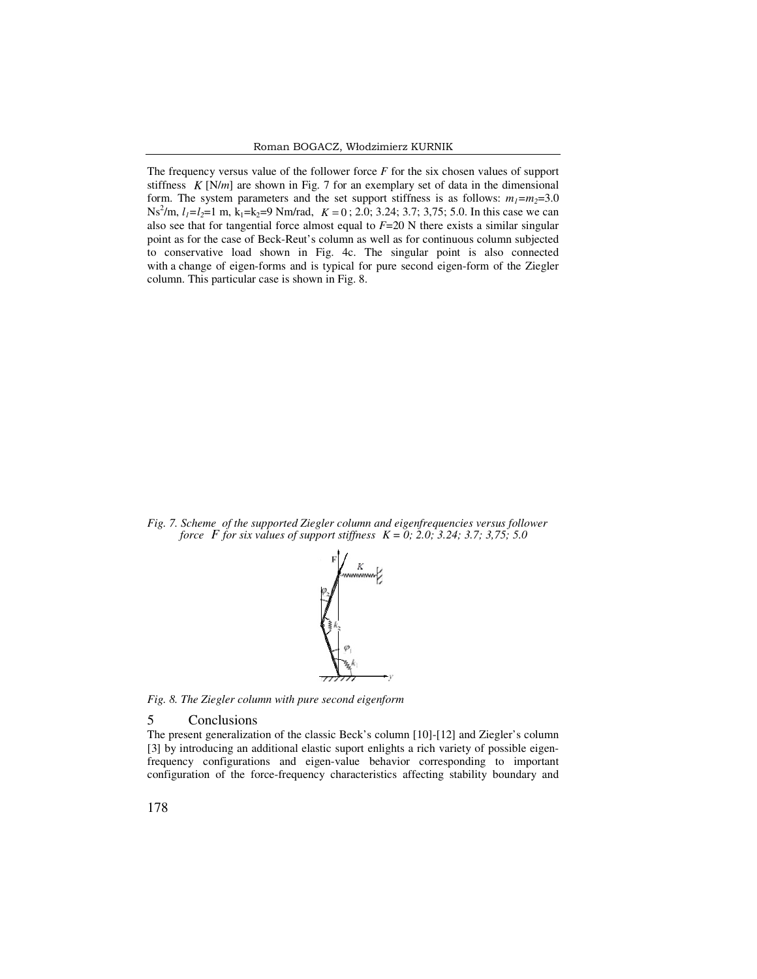The frequency versus value of the follower force *F* for the six chosen values of support stiffness  $K[N/m]$  are shown in Fig. 7 for an exemplary set of data in the dimensional form. The system parameters and the set support stiffness is as follows:  $m_1 = m_2 = 3.0$  $Ns^{2}/m$ ,  $l_1=l_2=1$  m,  $k_1=k_2=9$  Nm/rad,  $K=0$ ; 2.0; 3.24; 3.7; 3,75; 5.0. In this case we can also see that for tangential force almost equal to *F*=20 N there exists a similar singular point as for the case of Beck-Reut's column as well as for continuous column subjected to conservative load shown in Fig. 4c. The singular point is also connected with a change of eigen-forms and is typical for pure second eigen-form of the Ziegler column. This particular case is shown in Fig. 8.



*Fig. 7. Scheme of the supported Ziegler column and eigenfrequencies versus follower force F for six values of support stiffness*  $K = 0$ *; 2.0; 3.24; 3.7; 3,75; 5.0* 



*Fig. 8. The Ziegler column with pure second eigenform* 

#### 5 Conclusions

The present generalization of the classic Beck's column [10]-[12] and Ziegler's column [3] by introducing an additional elastic suport enlights a rich variety of possible eigenfrequency configurations and eigen-value behavior corresponding to important configuration of the force-frequency characteristics affecting stability boundary and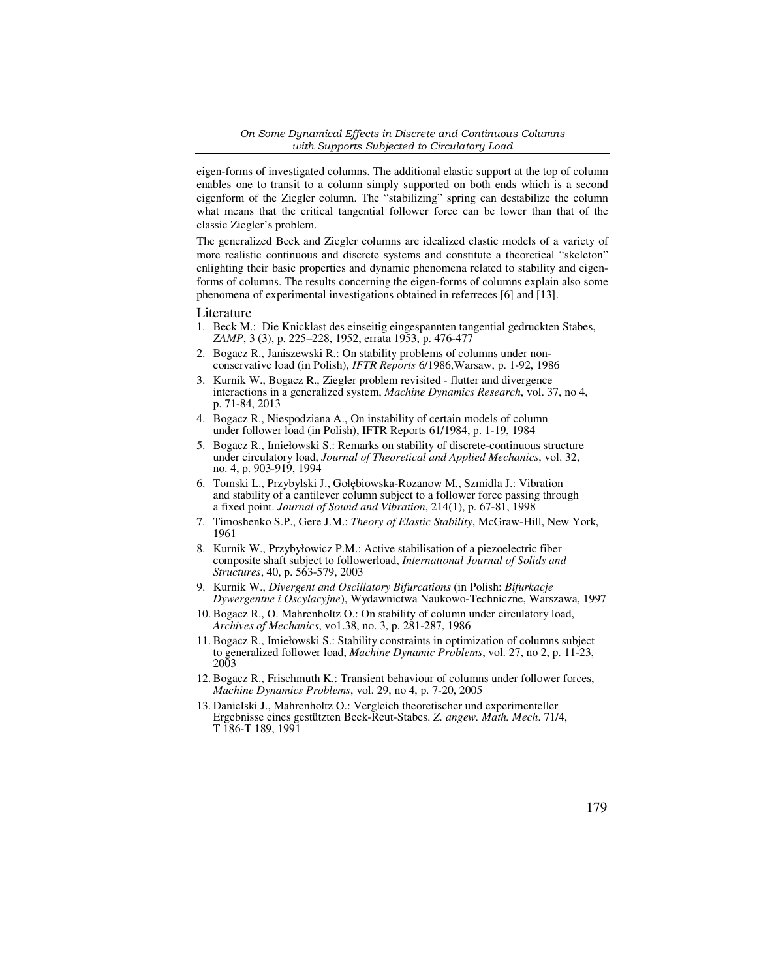eigen-forms of investigated columns. The additional elastic support at the top of column enables one to transit to a column simply supported on both ends which is a second eigenform of the Ziegler column. The "stabilizing" spring can destabilize the column what means that the critical tangential follower force can be lower than that of the classic Ziegler's problem.

The generalized Beck and Ziegler columns are idealized elastic models of a variety of more realistic continuous and discrete systems and constitute a theoretical "skeleton" enlighting their basic properties and dynamic phenomena related to stability and eigenforms of columns. The results concerning the eigen-forms of columns explain also some phenomena of experimental investigations obtained in referreces [6] and [13].

#### Literature

- 1. Beck M.: Die Knicklast des einseitig eingespannten tangential gedruckten Stabes, *ZAMP*, 3 (3), p. 225–228, 1952, errata 1953, p. 476-477
- 2. Bogacz R., Janiszewski R.: On stability problems of columns under nonconservative load (in Polish), *IFTR Reports* 6/1986,Warsaw, p. 1-92, 1986
- 3. Kurnik W., Bogacz R., Ziegler problem revisited flutter and divergence interactions in a generalized system, *Machine Dynamics Research*, vol. 37, no 4, p. 71-84, 2013
- 4. Bogacz R., Niespodziana A., On instability of certain models of column under follower load (in Polish), IFTR Reports 61/1984, p. 1-19, 1984
- 5. Bogacz R., Imiełowski S.: Remarks on stability of discrete-continuous structure under circulatory load, *Journal of Theoretical and Applied Mechanics*, vol. 32, no. 4, p. 903-919, 1994
- 6. Tomski L., Przybylski J., Gołębiowska-Rozanow M., Szmidla J.: Vibration and stability of a cantilever column subject to a follower force passing through a fixed point. *Journal of Sound and Vibration*, 214(1), p. 67-81, 1998
- 7. Timoshenko S.P., Gere J.M.: *Theory of Elastic Stability*, McGraw-Hill, New York, 1961
- 8. Kurnik W., Przybyłowicz P.M.: Active stabilisation of a piezoelectric fiber composite shaft subject to followerload, *International Journal of Solids and Structures*, 40, p. 563-579, 2003
- 9. Kurnik W., *Divergent and Oscillatory Bifurcations* (in Polish: *Bifurkacje Dywergentne i Oscylacyjne*), Wydawnictwa Naukowo-Techniczne, Warszawa, 1997
- 10. Bogacz R., O. Mahrenholtz O.: On stability of column under circulatory load, *Archives of Mechanics*, vo1.38, no. 3, p. 281-287, 1986
- 11. Bogacz R., Imiełowski S.: Stability constraints in optimization of columns subject to generalized follower load, *Machine Dynamic Problems*, vol. 27, no 2, p. 11-23, 2003
- 12. Bogacz R., Frischmuth K.: Transient behaviour of columns under follower forces, *Machine Dynamics Problems*, vol. 29, no 4, p. 7-20, 2005
- 13. Danielski J., Mahrenholtz O.: Vergleich theoretischer und experimenteller Ergebnisse eines gestützten Beck-Reut-Stabes. *Z. angew. Math. Mech*. 71/4, T 186-T 189, 1991